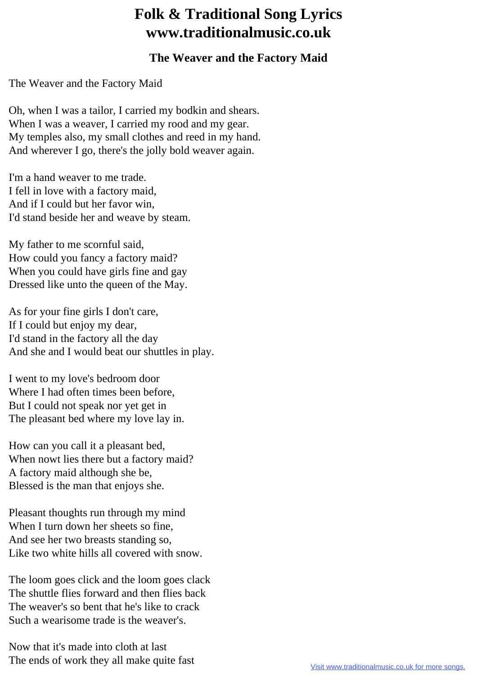## **Folk & Traditional Song Lyrics www.traditionalmusic.co.uk**

## **The Weaver and the Factory Maid**

The Weaver and the Factory Maid

Oh, when I was a tailor, I carried my bodkin and shears. When I was a weaver, I carried my rood and my gear. My temples also, my small clothes and reed in my hand. And wherever I go, there's the jolly bold weaver again.

I'm a hand weaver to me trade. I fell in love with a factory maid, And if I could but her favor win, I'd stand beside her and weave by steam.

My father to me scornful said, How could you fancy a factory maid? When you could have girls fine and gay Dressed like unto the queen of the May.

As for your fine girls I don't care, If I could but enjoy my dear, I'd stand in the factory all the day And she and I would beat our shuttles in play.

I went to my love's bedroom door Where I had often times been before. But I could not speak nor yet get in The pleasant bed where my love lay in.

How can you call it a pleasant bed, When nowt lies there but a factory maid? A factory maid although she be, Blessed is the man that enjoys she.

Pleasant thoughts run through my mind When I turn down her sheets so fine. And see her two breasts standing so, Like two white hills all covered with snow.

The loom goes click and the loom goes clack The shuttle flies forward and then flies back The weaver's so bent that he's like to crack Such a wearisome trade is the weaver's.

Now that it's made into cloth at last The ends of work they all make quite fast